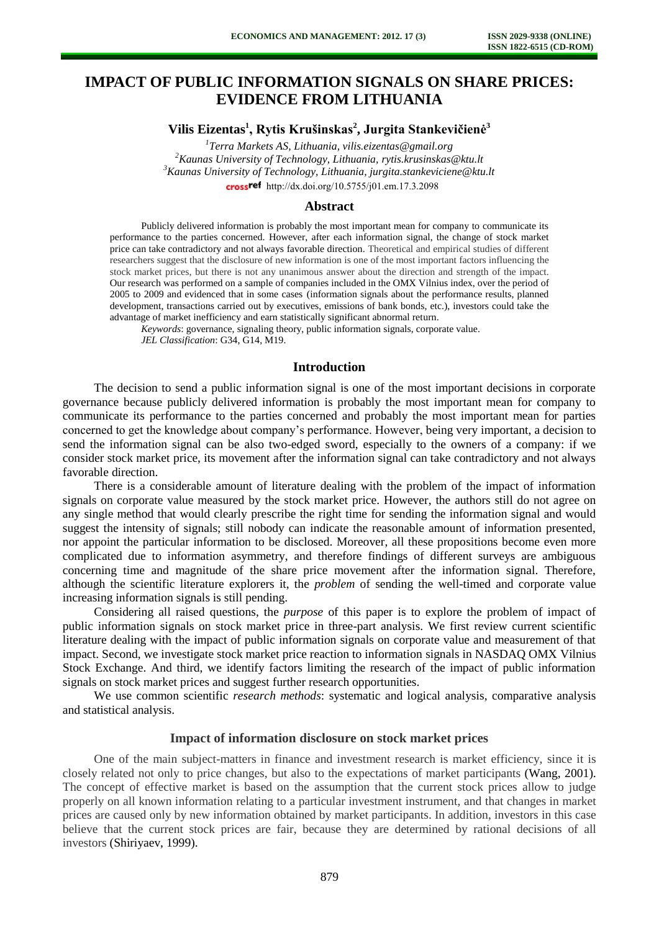# **IMPACT OF PUBLIC INFORMATION SIGNALS ON SHARE PRICES: EVIDENCE FROM LITHUANIA**

## **Vilis Eizentas<sup>1</sup> , Rytis Krušinskas<sup>2</sup> , Jurgita Stankevičienė<sup>3</sup>**

 *Terra Markets AS, Lithuania, vilis.eizentas@gmail.org Kaunas University of Technology, Lithuania, rytis.krusinskas@ktu.lt Kaunas University of Technology, Lithuania, jurgita.stankeviciene@ktu.lt*  crossref [http://dx.doi.org/10.5755/j01.e](http://dx.doi.org/10.5755/j01.em.17.3.2098)m.17.3.2098

#### **Abstract**

Publicly delivered information is probably the most important mean for company to communicate its performance to the parties concerned. However, after each information signal, the change of stock market price can take contradictory and not always favorable direction. Theoretical and empirical studies of different researchers suggest that the disclosure of new information is one of the most important factors influencing the stock market prices, but there is not any unanimous answer about the direction and strength of the impact. Our research was performed on a sample of companies included in the OMX Vilnius index, over the period of 2005 to 2009 and evidenced that in some cases (information signals about the performance results, planned development, transactions carried out by executives, emissions of bank bonds, etc.), investors could take the advantage of market inefficiency and earn statistically significant abnormal return.

*Keywords*: governance, signaling theory, public information signals, corporate value. *JEL Classification*: G34, G14, M19.

#### **Introduction**

The decision to send a public information signal is one of the most important decisions in corporate governance because publicly delivered information is probably the most important mean for company to communicate its performance to the parties concerned and probably the most important mean for parties concerned to get the knowledge about company's performance. However, being very important, a decision to send the information signal can be also two-edged sword, especially to the owners of a company: if we consider stock market price, its movement after the information signal can take contradictory and not always favorable direction.

There is a considerable amount of literature dealing with the problem of the impact of information signals on corporate value measured by the stock market price. However, the authors still do not agree on any single method that would clearly prescribe the right time for sending the information signal and would suggest the intensity of signals; still nobody can indicate the reasonable amount of information presented, nor appoint the particular information to be disclosed. Moreover, all these propositions become even more complicated due to information asymmetry, and therefore findings of different surveys are ambiguous concerning time and magnitude of the share price movement after the information signal. Therefore, although the scientific literature explorers it, the *problem* of sending the well-timed and corporate value increasing information signals is still pending.

Considering all raised questions, the *purpose* of this paper is to explore the problem of impact of public information signals on stock market price in three-part analysis. We first review current scientific literature dealing with the impact of public information signals on corporate value and measurement of that impact. Second, we investigate stock market price reaction to information signals in NASDAQ OMX Vilnius Stock Exchange. And third, we identify factors limiting the research of the impact of public information signals on stock market prices and suggest further research opportunities.

We use common scientific *research methods*: systematic and logical analysis, comparative analysis and statistical analysis.

### **Impact of information disclosure on stock market prices**

One of the main subject-matters in finance and investment research is market efficiency, since it is closely related not only to price changes, but also to the expectations of market participants (Wang, 2001). The concept of effective market is based on the assumption that the current stock prices allow to judge properly on all known information relating to a particular investment instrument, and that changes in market prices are caused only by new information obtained by market participants. In addition, investors in this case believe that the current stock prices are fair, because they are determined by rational decisions of all investors (Shiriyaev, 1999).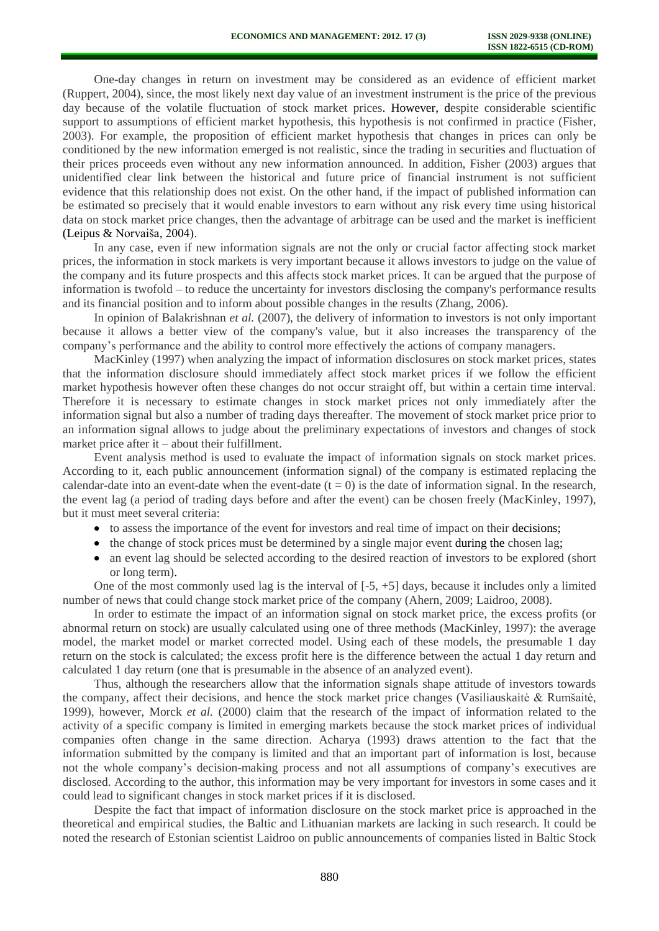One-day changes in return on investment may be considered as an evidence of efficient market (Ruppert, 2004), since, the most likely next day value of an investment instrument is the price of the previous day because of the volatile fluctuation of stock market prices. However, despite considerable scientific support to assumptions of efficient market hypothesis, this hypothesis is not confirmed in practice (Fisher, 2003). For example, the proposition of efficient market hypothesis that changes in prices can only be conditioned by the new information emerged is not realistic, since the trading in securities and fluctuation of their prices proceeds even without any new information announced. In addition, Fisher (2003) argues that unidentified clear link between the historical and future price of financial instrument is not sufficient evidence that this relationship does not exist. On the other hand, if the impact of published information can be estimated so precisely that it would enable investors to earn without any risk every time using historical data on stock market price changes, then the advantage of arbitrage can be used and the market is inefficient (Leipus & Norvaiša, 2004).

In any case, even if new information signals are not the only or crucial factor affecting stock market prices, the information in stock markets is very important because it allows investors to judge on the value of the company and its future prospects and this affects stock market prices. It can be argued that the purpose of information is twofold – to reduce the uncertainty for investors disclosing the company's performance results and its financial position and to inform about possible changes in the results (Zhang, 2006).

In opinion of Balakrishnan *et al.* (2007), the delivery of information to investors is not only important because it allows a better view of the company's value, but it also increases the transparency of the company's performance and the ability to control more effectively the actions of company managers.

MacKinley (1997) when analyzing the impact of information disclosures on stock market prices, states that the information disclosure should immediately affect stock market prices if we follow the efficient market hypothesis however often these changes do not occur straight off, but within a certain time interval. Therefore it is necessary to estimate changes in stock market prices not only immediately after the information signal but also a number of trading days thereafter. The movement of stock market price prior to an information signal allows to judge about the preliminary expectations of investors and changes of stock market price after it – about their fulfillment.

Event analysis method is used to evaluate the impact of information signals on stock market prices. According to it, each public announcement (information signal) of the company is estimated replacing the calendar-date into an event-date when the event-date  $(t = 0)$  is the date of information signal. In the research, the event lag (a period of trading days before and after the event) can be chosen freely (MacKinley, 1997), but it must meet several criteria:

- to assess the importance of the event for investors and real time of impact on their decisions;
- $\bullet$  the change of stock prices must be determined by a single major event during the chosen lag;
- an event lag should be selected according to the desired reaction of investors to be explored (short or long term).

One of the most commonly used lag is the interval of [-5, +5] days, because it includes only a limited number of news that could change stock market price of the company (Ahern, 2009; Laidroo, 2008).

In order to estimate the impact of an information signal on stock market price, the excess profits (or abnormal return on stock) are usually calculated using one of three methods (MacKinley, 1997): the average model, the market model or market corrected model. Using each of these models, the presumable 1 day return on the stock is calculated; the excess profit here is the difference between the actual 1 day return and calculated 1 day return (one that is presumable in the absence of an analyzed event).

Thus, although the researchers allow that the information signals shape attitude of investors towards the company, affect their decisions, and hence the stock market price changes (Vasiliauskaitė & Rumšaitė, 1999), however, Morck *et al.* (2000) claim that the research of the impact of information related to the activity of a specific company is limited in emerging markets because the stock market prices of individual companies often change in the same direction. Acharya (1993) draws attention to the fact that the information submitted by the company is limited and that an important part of information is lost, because not the whole company's decision-making process and not all assumptions of company's executives are disclosed. According to the author, this information may be very important for investors in some cases and it could lead to significant changes in stock market prices if it is disclosed.

Despite the fact that impact of information disclosure on the stock market price is approached in the theoretical and empirical studies, the Baltic and Lithuanian markets are lacking in such research. It could be noted the research of Estonian scientist Laidroo on public announcements of companies listed in Baltic Stock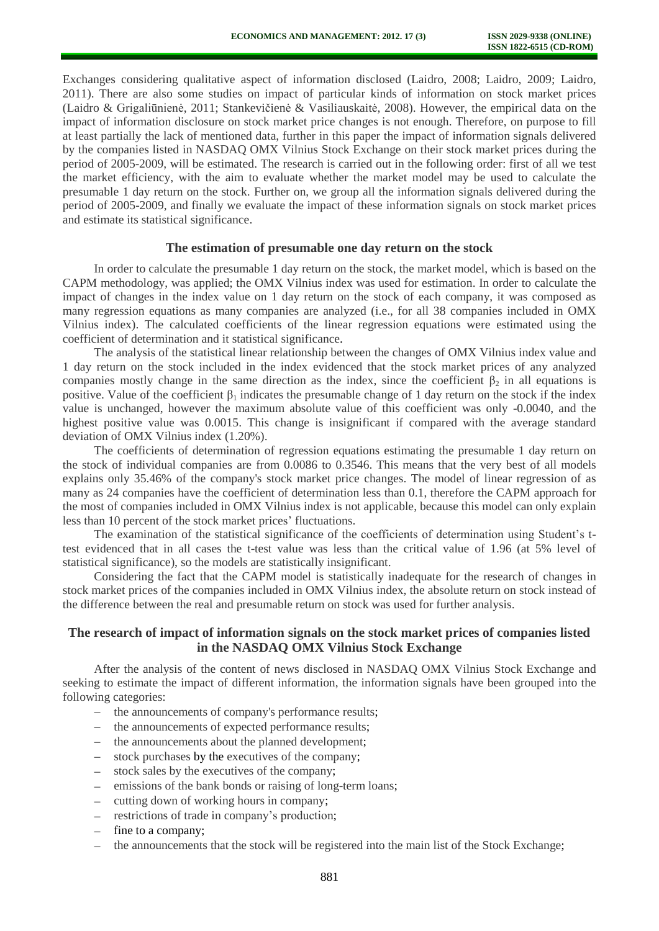Exchanges considering qualitative aspect of information disclosed (Laidro, 2008; Laidro, 2009; Laidro, 2011). There are also some studies on impact of particular kinds of information on stock market prices (Laidro & Grigaliūnienė, 2011; Stankevičienė & Vasiliauskaitė, 2008). However, the empirical data on the impact of information disclosure on stock market price changes is not enough. Therefore, on purpose to fill at least partially the lack of mentioned data, further in this paper the impact of information signals delivered by the companies listed in NASDAQ OMX Vilnius Stock Exchange on their stock market prices during the period of 2005-2009, will be estimated. The research is carried out in the following order: first of all we test the market efficiency, with the aim to evaluate whether the market model may be used to calculate the presumable 1 day return on the stock. Further on, we group all the information signals delivered during the period of 2005-2009, and finally we evaluate the impact of these information signals on stock market prices and estimate its statistical significance.

### **The estimation of presumable one day return on the stock**

In order to calculate the presumable 1 day return on the stock, the market model, which is based on the CAPM methodology, was applied; the OMX Vilnius index was used for estimation. In order to calculate the impact of changes in the index value on 1 day return on the stock of each company, it was composed as many regression equations as many companies are analyzed (i.e., for all 38 companies included in OMX Vilnius index). The calculated coefficients of the linear regression equations were estimated using the coefficient of determination and it statistical significance.

The analysis of the statistical linear relationship between the changes of OMX Vilnius index value and 1 day return on the stock included in the index evidenced that the stock market prices of any analyzed companies mostly change in the same direction as the index, since the coefficient  $\beta_2$  in all equations is positive. Value of the coefficient  $\beta_1$  indicates the presumable change of 1 day return on the stock if the index value is unchanged, however the maximum absolute value of this coefficient was only -0.0040, and the highest positive value was 0.0015. This change is insignificant if compared with the average standard deviation of OMX Vilnius index (1.20%).

The coefficients of determination of regression equations estimating the presumable 1 day return on the stock of individual companies are from 0.0086 to 0.3546. This means that the very best of all models explains only 35.46% of the company's stock market price changes. The model of linear regression of as many as 24 companies have the coefficient of determination less than 0.1, therefore the CAPM approach for the most of companies included in OMX Vilnius index is not applicable, because this model can only explain less than 10 percent of the stock market prices' fluctuations.

The examination of the statistical significance of the coefficients of determination using Student's ttest evidenced that in all cases the t-test value was less than the critical value of 1.96 (at 5% level of statistical significance), so the models are statistically insignificant.

Considering the fact that the CAPM model is statistically inadequate for the research of changes in stock market prices of the companies included in OMX Vilnius index, the absolute return on stock instead of the difference between the real and presumable return on stock was used for further analysis.

## **The research of impact of information signals on the stock market prices of companies listed in the NASDAQ OMX Vilnius Stock Exchange**

After the analysis of the content of news disclosed in NASDAQ OMX Vilnius Stock Exchange and seeking to estimate the impact of different information, the information signals have been grouped into the following categories:

- the announcements of company's performance results;
- the announcements of expected performance results;
- the announcements about the planned development;  $\equiv$
- stock purchases by the executives of the company;
- stock sales by the executives of the company;  $-$
- emissions of the bank bonds or raising of long-term loans;  $\equiv$
- cutting down of working hours in company;
- restrictions of trade in company's production;  $-$
- fine to a company;
- the announcements that the stock will be registered into the main list of the Stock Exchange;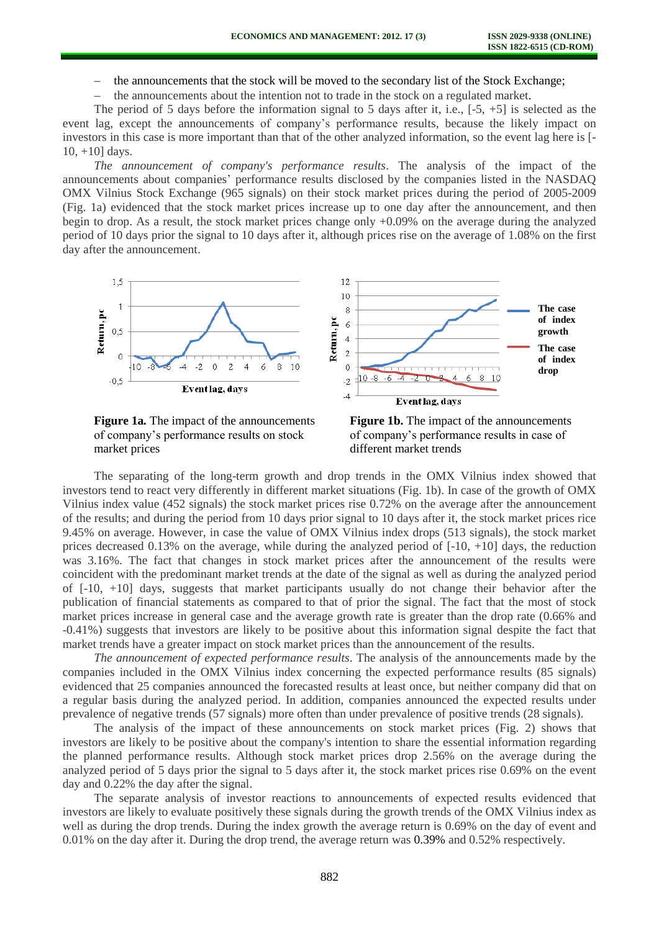the announcements that the stock will be moved to the secondary list of the Stock Exchange;

the announcements about the intention not to trade in the stock on a regulated market.

The period of 5 days before the information signal to 5 days after it, i.e., [-5, +5] is selected as the event lag, except the announcements of company's performance results, because the likely impact on investors in this case is more important than that of the other analyzed information, so the event lag here is [- 10, +10] days.

*The announcement of company's performance results*. The analysis of the impact of the announcements about companies' performance results disclosed by the companies listed in the NASDAQ OMX Vilnius Stock Exchange (965 signals) on their stock market prices during the period of 2005-2009 (Fig. 1a) evidenced that the stock market prices increase up to one day after the announcement, and then begin to drop. As a result, the stock market prices change only +0.09% on the average during the analyzed period of 10 days prior the signal to 10 days after it, although prices rise on the average of 1.08% on the first day after the announcement.



market prices different market trends



The separating of the long-term growth and drop trends in the OMX Vilnius index showed that investors tend to react very differently in different market situations (Fig. 1b). In case of the growth of OMX Vilnius index value (452 signals) the stock market prices rise 0.72% on the average after the announcement of the results; and during the period from 10 days prior signal to 10 days after it, the stock market prices rice 9.45% on average. However, in case the value of OMX Vilnius index drops (513 signals), the stock market prices decreased 0.13% on the average, while during the analyzed period of  $[-10, +10]$  days, the reduction was 3.16%. The fact that changes in stock market prices after the announcement of the results were coincident with the predominant market trends at the date of the signal as well as during the analyzed period of [-10, +10] days, suggests that market participants usually do not change their behavior after the publication of financial statements as compared to that of prior the signal. The fact that the most of stock market prices increase in general case and the average growth rate is greater than the drop rate (0.66% and -0.41%) suggests that investors are likely to be positive about this information signal despite the fact that market trends have a greater impact on stock market prices than the announcement of the results.

*The announcement of expected performance results*. The analysis of the announcements made by the companies included in the OMX Vilnius index concerning the expected performance results (85 signals) evidenced that 25 companies announced the forecasted results at least once, but neither company did that on a regular basis during the analyzed period. In addition, companies announced the expected results under prevalence of negative trends (57 signals) more often than under prevalence of positive trends (28 signals).

The analysis of the impact of these announcements on stock market prices (Fig. 2) shows that investors are likely to be positive about the company's intention to share the essential information regarding the planned performance results. Although stock market prices drop 2.56% on the average during the analyzed period of 5 days prior the signal to 5 days after it, the stock market prices rise 0.69% on the event day and 0.22% the day after the signal.

The separate analysis of investor reactions to announcements of expected results evidenced that investors are likely to evaluate positively these signals during the growth trends of the OMX Vilnius index as well as during the drop trends. During the index growth the average return is 0.69% on the day of event and 0.01% on the day after it. During the drop trend, the average return was 0.39% and 0.52% respectively.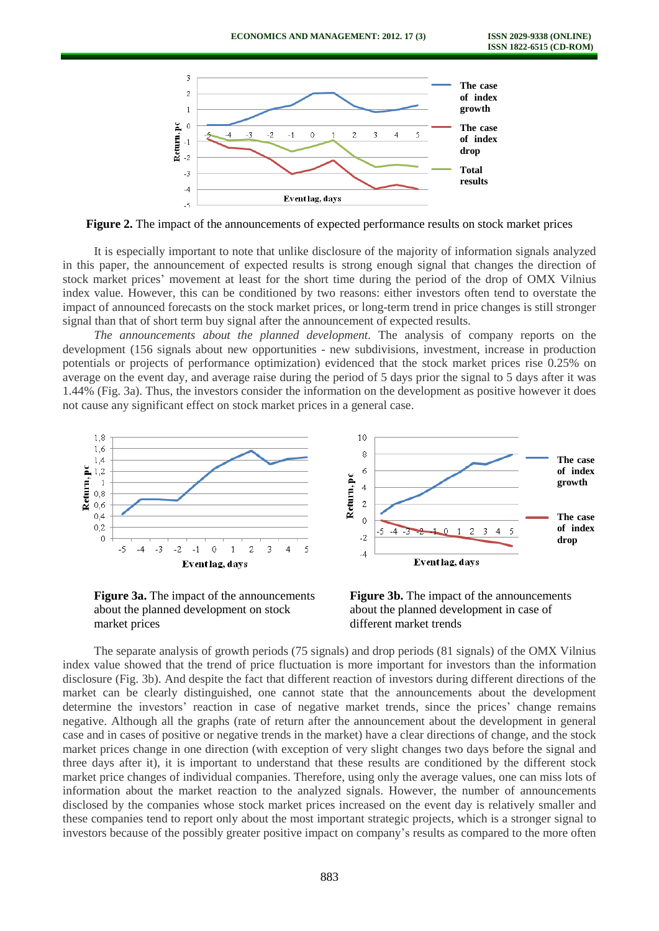

**Figure 2.** The impact of the announcements of expected performance results on stock market prices

It is especially important to note that unlike disclosure of the majority of information signals analyzed in this paper, the announcement of expected results is strong enough signal that changes the direction of stock market prices' movement at least for the short time during the period of the drop of OMX Vilnius index value. However, this can be conditioned by two reasons: either investors often tend to overstate the impact of announced forecasts on the stock market prices, or long-term trend in price changes is still stronger signal than that of short term buy signal after the announcement of expected results.

*The announcements about the planned development.* The analysis of company reports on the development (156 signals about new opportunities - new subdivisions, investment, increase in production potentials or projects of performance optimization) evidenced that the stock market prices rise 0.25% on average on the event day, and average raise during the period of 5 days prior the signal to 5 days after it was 1.44% (Fig. 3a). Thus, the investors consider the information on the development as positive however it does not cause any significant effect on stock market prices in a general case.



**Figure 3a.** The impact of the announcements **Figure 3b.** The impact of the announcements about the planned development on stock about the planned development in case of market prices different market trends

The separate analysis of growth periods (75 signals) and drop periods (81 signals) of the OMX Vilnius index value showed that the trend of price fluctuation is more important for investors than the information disclosure (Fig. 3b). And despite the fact that different reaction of investors during different directions of the market can be clearly distinguished, one cannot state that the announcements about the development determine the investors' reaction in case of negative market trends, since the prices' change remains negative. Although all the graphs (rate of return after the announcement about the development in general case and in cases of positive or negative trends in the market) have a clear directions of change, and the stock market prices change in one direction (with exception of very slight changes two days before the signal and three days after it), it is important to understand that these results are conditioned by the different stock market price changes of individual companies. Therefore, using only the average values, one can miss lots of information about the market reaction to the analyzed signals. However, the number of announcements disclosed by the companies whose stock market prices increased on the event day is relatively smaller and these companies tend to report only about the most important strategic projects, which is a stronger signal to investors because of the possibly greater positive impact on company's results as compared to the more often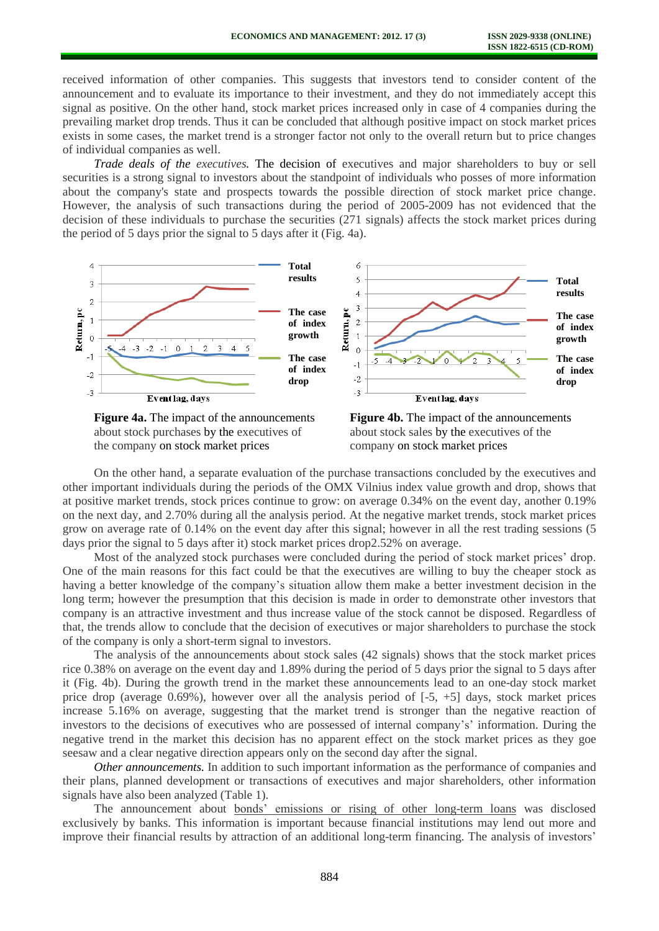received information of other companies. This suggests that investors tend to consider content of the announcement and to evaluate its importance to their investment, and they do not immediately accept this signal as positive. On the other hand, stock market prices increased only in case of 4 companies during the prevailing market drop trends. Thus it can be concluded that although positive impact on stock market prices exists in some cases, the market trend is a stronger factor not only to the overall return but to price changes of individual companies as well.

*Trade deals of the executives.* The decision of executives and major shareholders to buy or sell securities is a strong signal to investors about the standpoint of individuals who posses of more information about the company's state and prospects towards the possible direction of stock market price change. However, the analysis of such transactions during the period of 2005-2009 has not evidenced that the decision of these individuals to purchase the securities (271 signals) affects the stock market prices during the period of 5 days prior the signal to 5 days after it (Fig. 4a).



about stock purchases by the executives of about stock sales by the executives of the the company on stock market prices company on stock market prices



On the other hand, a separate evaluation of the purchase transactions concluded by the executives and other important individuals during the periods of the OMX Vilnius index value growth and drop, shows that at positive market trends, stock prices continue to grow: on average 0.34% on the event day, another 0.19% on the next day, and 2.70% during all the analysis period. At the negative market trends, stock market prices grow on average rate of 0.14% on the event day after this signal; however in all the rest trading sessions (5 days prior the signal to 5 days after it) stock market prices drop2.52% on average.

Most of the analyzed stock purchases were concluded during the period of stock market prices' drop. One of the main reasons for this fact could be that the executives are willing to buy the cheaper stock as having a better knowledge of the company's situation allow them make a better investment decision in the long term; however the presumption that this decision is made in order to demonstrate other investors that company is an attractive investment and thus increase value of the stock cannot be disposed. Regardless of that, the trends allow to conclude that the decision of executives or major shareholders to purchase the stock of the company is only a short-term signal to investors.

The analysis of the announcements about stock sales (42 signals) shows that the stock market prices rice 0.38% on average on the event day and 1.89% during the period of 5 days prior the signal to 5 days after it (Fig. 4b). During the growth trend in the market these announcements lead to an one-day stock market price drop (average 0.69%), however over all the analysis period of [-5, +5] days, stock market prices increase 5.16% on average, suggesting that the market trend is stronger than the negative reaction of investors to the decisions of executives who are possessed of internal company's' information. During the negative trend in the market this decision has no apparent effect on the stock market prices as they goe seesaw and a clear negative direction appears only on the second day after the signal.

*Other announcements.* In addition to such important information as the performance of companies and their plans, planned development or transactions of executives and major shareholders, other information signals have also been analyzed (Table 1).

The announcement about bonds' emissions or rising of other long-term loans was disclosed exclusively by banks. This information is important because financial institutions may lend out more and improve their financial results by attraction of an additional long-term financing. The analysis of investors'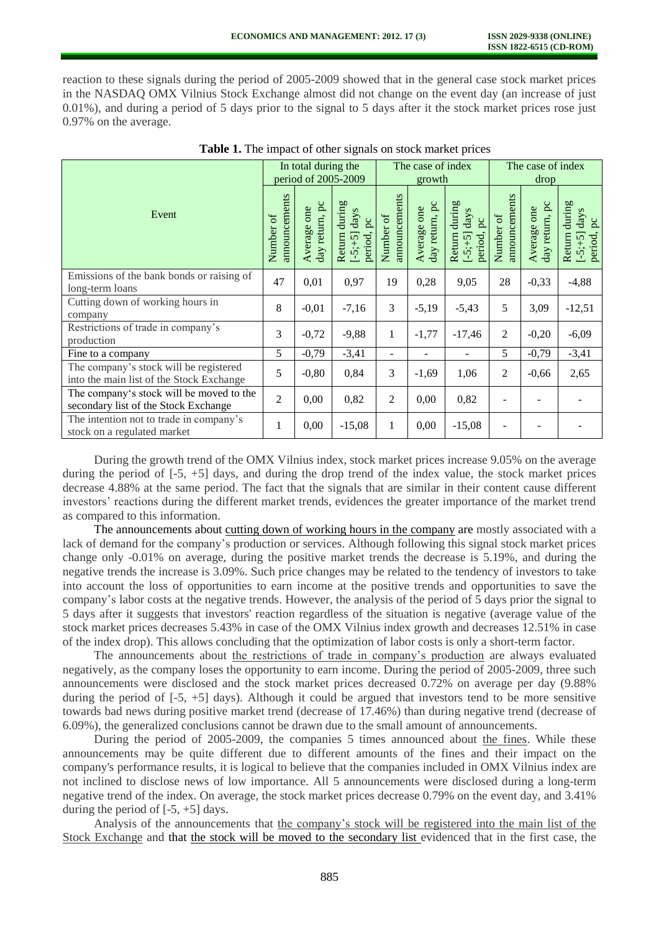reaction to these signals during the period of 2005-2009 showed that in the general case stock market prices in the NASDAQ OMX Vilnius Stock Exchange almost did not change on the event day (an increase of just 0.01%), and during a period of 5 days prior to the signal to 5 days after it the stock market prices rose just 0.97% on the average.

| Event                                                                              |                | In total during the<br>period of 2005-2009 |                                                                |                            | The case of index<br>growth   |                                                           |                            | The case of index<br>drop     |                                                                  |  |
|------------------------------------------------------------------------------------|----------------|--------------------------------------------|----------------------------------------------------------------|----------------------------|-------------------------------|-----------------------------------------------------------|----------------------------|-------------------------------|------------------------------------------------------------------|--|
|                                                                                    |                | day return, pc<br>Average one              | during<br>days<br>pc<br>period,<br><b>Return</b><br>$[-5; +5]$ | announcements<br>Number of | day return, pc<br>Average one | Return during<br>days<br>$\beta$<br>period,<br>$[-5; +5]$ | announcements<br>Number of | day return, pc<br>Average one | during<br>days<br>$p_{\rm c}$<br>period,<br>Return<br>$[-5; +5]$ |  |
| Emissions of the bank bonds or raising of<br>long-term loans                       | 47             | 0,01                                       | 0,97                                                           | 19                         | 0,28                          | 9,05                                                      | 28                         | $-0,33$                       | $-4,88$                                                          |  |
| Cutting down of working hours in<br>company                                        | 8              | $-0,01$                                    | $-7,16$                                                        | 3                          | $-5,19$                       | $-5,43$                                                   | 5                          | 3,09                          | $-12,51$                                                         |  |
| Restrictions of trade in company's<br>production                                   | 3              | $-0,72$                                    | $-9,88$                                                        | 1                          | $-1,77$                       | $-17,46$                                                  | $\overline{2}$             | $-0,20$                       | $-6,09$                                                          |  |
| Fine to a company                                                                  | 5              | $-0,79$                                    | $-3,41$                                                        | ۰                          | $\blacksquare$                |                                                           | 5                          | $-0,79$                       | $-3,41$                                                          |  |
| The company's stock will be registered<br>into the main list of the Stock Exchange | 5              | $-0,80$                                    | 0,84                                                           | 3                          | $-1,69$                       | 1,06                                                      | 2                          | $-0,66$                       | 2,65                                                             |  |
| The company's stock will be moved to the<br>secondary list of the Stock Exchange   | $\overline{2}$ | 0,00                                       | 0,82                                                           | 2                          | 0,00                          | 0,82                                                      |                            |                               |                                                                  |  |
| The intention not to trade in company's<br>stock on a regulated market             | 1              | 0,00                                       | $-15,08$                                                       | 1                          | 0,00                          | $-15,08$                                                  |                            |                               |                                                                  |  |

|  |  |  |  | Table 1. The impact of other signals on stock market prices |
|--|--|--|--|-------------------------------------------------------------|
|--|--|--|--|-------------------------------------------------------------|

During the growth trend of the OMX Vilnius index, stock market prices increase 9.05% on the average during the period of [-5, +5] days, and during the drop trend of the index value, the stock market prices decrease 4.88% at the same period. The fact that the signals that are similar in their content cause different investors' reactions during the different market trends, evidences the greater importance of the market trend as compared to this information.

The announcements about cutting down of working hours in the company are mostly associated with a lack of demand for the company's production or services. Although following this signal stock market prices change only -0.01% on average, during the positive market trends the decrease is 5.19%, and during the negative trends the increase is 3.09%. Such price changes may be related to the tendency of investors to take into account the loss of opportunities to earn income at the positive trends and opportunities to save the company's labor costs at the negative trends. However, the analysis of the period of 5 days prior the signal to 5 days after it suggests that investors' reaction regardless of the situation is negative (average value of the stock market prices decreases 5.43% in case of the OMX Vilnius index growth and decreases 12.51% in case of the index drop). This allows concluding that the optimization of labor costs is only a short-term factor.

The announcements about the restrictions of trade in company's production are always evaluated negatively, as the company loses the opportunity to earn income. During the period of 2005-2009, three such announcements were disclosed and the stock market prices decreased 0.72% on average per day (9.88% during the period of [-5, +5] days). Although it could be argued that investors tend to be more sensitive towards bad news during positive market trend (decrease of 17.46%) than during negative trend (decrease of 6.09%), the generalized conclusions cannot be drawn due to the small amount of announcements.

During the period of 2005-2009, the companies 5 times announced about the fines. While these announcements may be quite different due to different amounts of the fines and their impact on the company's performance results, it is logical to believe that the companies included in OMX Vilnius index are not inclined to disclose news of low importance. All 5 announcements were disclosed during a long-term negative trend of the index. On average, the stock market prices decrease 0.79% on the event day, and 3.41% during the period of  $[-5, +5]$  days.

Analysis of the announcements that the company's stock will be registered into the main list of the Stock Exchange and that the stock will be moved to the secondary list evidenced that in the first case, the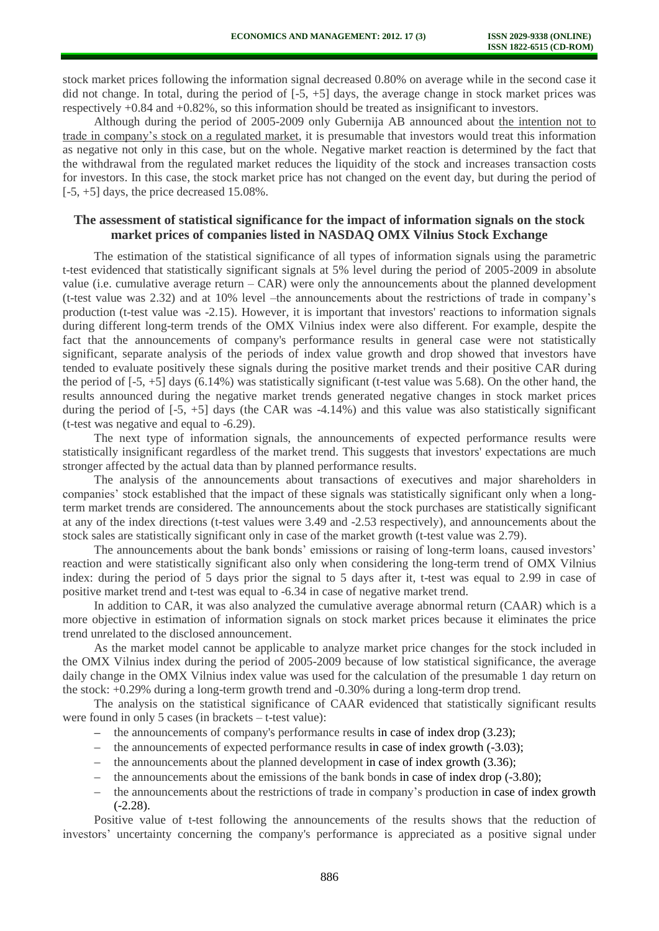stock market prices following the information signal decreased 0.80% on average while in the second case it did not change. In total, during the period of  $[-5, +5]$  days, the average change in stock market prices was respectively +0.84 and +0.82%, so this information should be treated as insignificant to investors.

Although during the period of 2005-2009 only Gubernija AB announced about the intention not to trade in company's stock on a regulated market, it is presumable that investors would treat this information as negative not only in this case, but on the whole. Negative market reaction is determined by the fact that the withdrawal from the regulated market reduces the liquidity of the stock and increases transaction costs for investors. In this case, the stock market price has not changed on the event day, but during the period of  $[-5, +5]$  days, the price decreased 15.08%.

## **The assessment of statistical significance for the impact of information signals on the stock market prices of companies listed in NASDAQ OMX Vilnius Stock Exchange**

The estimation of the statistical significance of all types of information signals using the parametric t-test evidenced that statistically significant signals at 5% level during the period of 2005-2009 in absolute value (i.e. cumulative average return – CAR) were only the announcements about the planned development (t-test value was 2.32) and at 10% level –the announcements about the restrictions of trade in company's production (t-test value was -2.15). However, it is important that investors' reactions to information signals during different long-term trends of the OMX Vilnius index were also different. For example, despite the fact that the announcements of company's performance results in general case were not statistically significant, separate analysis of the periods of index value growth and drop showed that investors have tended to evaluate positively these signals during the positive market trends and their positive CAR during the period of [-5, +5] days (6.14%) was statistically significant (t-test value was 5.68). On the other hand, the results announced during the negative market trends generated negative changes in stock market prices during the period of  $[-5, +5]$  days (the CAR was  $-4.14\%$ ) and this value was also statistically significant (t-test was negative and equal to -6.29).

The next type of information signals, the announcements of expected performance results were statistically insignificant regardless of the market trend. This suggests that investors' expectations are much stronger affected by the actual data than by planned performance results.

The analysis of the announcements about transactions of executives and major shareholders in companies' stock established that the impact of these signals was statistically significant only when a longterm market trends are considered. The announcements about the stock purchases are statistically significant at any of the index directions (t-test values were 3.49 and -2.53 respectively), and announcements about the stock sales are statistically significant only in case of the market growth (t-test value was 2.79).

The announcements about the bank bonds' emissions or raising of long-term loans, caused investors' reaction and were statistically significant also only when considering the long-term trend of OMX Vilnius index: during the period of 5 days prior the signal to 5 days after it, t-test was equal to 2.99 in case of positive market trend and t-test was equal to -6.34 in case of negative market trend.

In addition to CAR, it was also analyzed the cumulative average abnormal return (CAAR) which is a more objective in estimation of information signals on stock market prices because it eliminates the price trend unrelated to the disclosed announcement.

As the market model cannot be applicable to analyze market price changes for the stock included in the OMX Vilnius index during the period of 2005-2009 because of low statistical significance, the average daily change in the OMX Vilnius index value was used for the calculation of the presumable 1 day return on the stock: +0.29% during a long-term growth trend and -0.30% during a long-term drop trend.

The analysis on the statistical significance of CAAR evidenced that statistically significant results were found in only 5 cases (in brackets – t-test value):

- $\blacksquare$  the announcements of company's performance results in case of index drop (3.23);
- the announcements of expected performance results in case of index growth (-3.03);  $\mathbf{r}$
- the announcements about the planned development in case of index growth (3.36);
- the announcements about the emissions of the bank bonds in case of index drop (-3.80);  $\equiv$
- the announcements about the restrictions of trade in company's production in case of index growth  $\frac{1}{2}$ (-2.28).

Positive value of t-test following the announcements of the results shows that the reduction of investors' uncertainty concerning the company's performance is appreciated as a positive signal under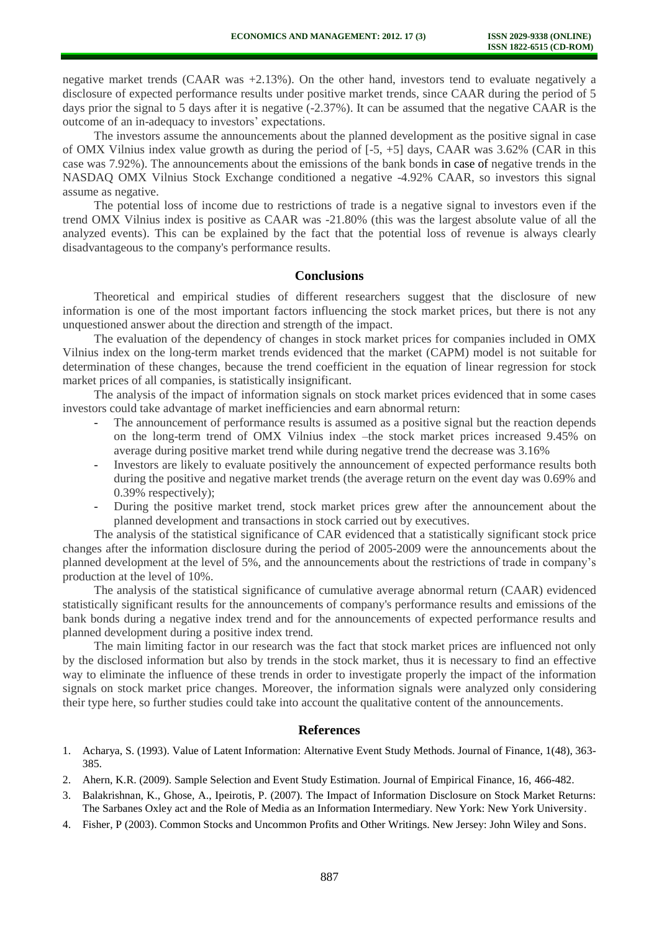negative market trends (CAAR was +2.13%). On the other hand, investors tend to evaluate negatively a disclosure of expected performance results under positive market trends, since CAAR during the period of 5 days prior the signal to 5 days after it is negative (-2.37%). It can be assumed that the negative CAAR is the outcome of an in-adequacy to investors' expectations.

The investors assume the announcements about the planned development as the positive signal in case of OMX Vilnius index value growth as during the period of [-5, +5] days, CAAR was 3.62% (CAR in this case was 7.92%). The announcements about the emissions of the bank bonds in case of negative trends in the NASDAQ OMX Vilnius Stock Exchange conditioned a negative -4.92% CAAR, so investors this signal assume as negative.

The potential loss of income due to restrictions of trade is a negative signal to investors even if the trend OMX Vilnius index is positive as CAAR was -21.80% (this was the largest absolute value of all the analyzed events). This can be explained by the fact that the potential loss of revenue is always clearly disadvantageous to the company's performance results.

### **Conclusions**

Theoretical and empirical studies of different researchers suggest that the disclosure of new information is one of the most important factors influencing the stock market prices, but there is not any unquestioned answer about the direction and strength of the impact.

The evaluation of the dependency of changes in stock market prices for companies included in OMX Vilnius index on the long-term market trends evidenced that the market (CAPM) model is not suitable for determination of these changes, because the trend coefficient in the equation of linear regression for stock market prices of all companies, is statistically insignificant.

The analysis of the impact of information signals on stock market prices evidenced that in some cases investors could take advantage of market inefficiencies and earn abnormal return:

- The announcement of performance results is assumed as a positive signal but the reaction depends on the long-term trend of OMX Vilnius index –the stock market prices increased 9.45% on average during positive market trend while during negative trend the decrease was 3.16%
- Investors are likely to evaluate positively the announcement of expected performance results both during the positive and negative market trends (the average return on the event day was 0.69% and 0.39% respectively);
- During the positive market trend, stock market prices grew after the announcement about the planned development and transactions in stock carried out by executives.

The analysis of the statistical significance of CAR evidenced that a statistically significant stock price changes after the information disclosure during the period of 2005-2009 were the announcements about the planned development at the level of 5%, and the announcements about the restrictions of trade in company's production at the level of 10%.

The analysis of the statistical significance of cumulative average abnormal return (CAAR) evidenced statistically significant results for the announcements of company's performance results and emissions of the bank bonds during a negative index trend and for the announcements of expected performance results and planned development during a positive index trend.

The main limiting factor in our research was the fact that stock market prices are influenced not only by the disclosed information but also by trends in the stock market, thus it is necessary to find an effective way to eliminate the influence of these trends in order to investigate properly the impact of the information signals on stock market price changes. Moreover, the information signals were analyzed only considering their type here, so further studies could take into account the qualitative content of the announcements.

### **References**

- 1. Acharya, S. (1993). Value of Latent Information: Alternative Event Study Methods. Journal of Finance, 1(48), 363- 385.
- 2. Ahern, K.R. (2009). Sample Selection and Event Study Estimation. Journal of Empirical Finance, 16, 466-482.
- 3. Balakrishnan, K., Ghose, A., Ipeirotis, P. (2007). The Impact of Information Disclosure on Stock Market Returns: The Sarbanes Oxley act and the Role of Media as an Information Intermediary. New York: New York University.
- 4. Fisher, P (2003). Common Stocks and Uncommon Profits and Other Writings. New Jersey: John Wiley and Sons.